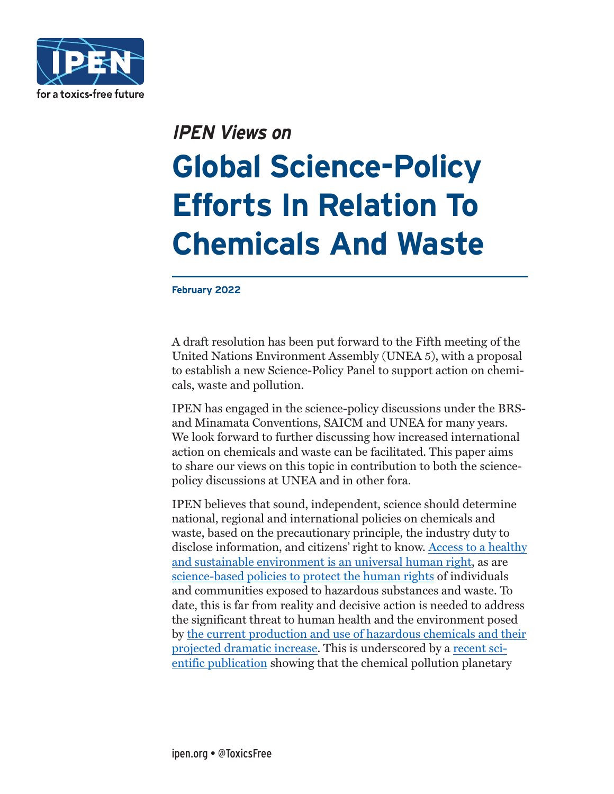

# **IPEN Views on**

# **Global Science-Policy Efforts In Relation To Chemicals And Waste**

**February 2022**

A draft resolution has been put forward to the Fifth meeting of the United Nations Environment Assembly (UNEA 5), with a proposal to establish a new Science-Policy Panel to support action on chemicals, waste and pollution.

IPEN has engaged in the science-policy discussions under the BRSand Minamata Conventions, SAICM and UNEA for many years. We look forward to further discussing how increased international action on chemicals and waste can be facilitated. This paper aims to share our views on this topic in contribution to both the sciencepolicy discussions at UNEA and in other fora.

IPEN believes that sound, independent, science should determine national, regional and international policies on chemicals and waste, based on the precautionary principle, the industry duty to disclose information, and citizens' right to know. [Access to a healthy](https://news.un.org/en/story/2021/10/1103082)  [and sustainable environment is an universal human right,](https://news.un.org/en/story/2021/10/1103082) as are [science-based policies to protect the human rights](https://undocs.org/en/A/HRC/48/61) of individuals and communities exposed to hazardous substances and waste. To date, this is far from reality and decisive action is needed to address the significant threat to human health and the environment posed by [the current production and use of hazardous chemicals and their](https://ipen.org/documents/plastics-toxic-chemical-problem-growing-public-health-crisis-executive-summary)  [projected dramatic increase.](https://ipen.org/documents/plastics-toxic-chemical-problem-growing-public-health-crisis-executive-summary) This is underscored by a [recent sci](https://pubs.acs.org/doi/10.1021/acs.est.1c04158)[entific publication](https://pubs.acs.org/doi/10.1021/acs.est.1c04158) showing that the chemical pollution planetary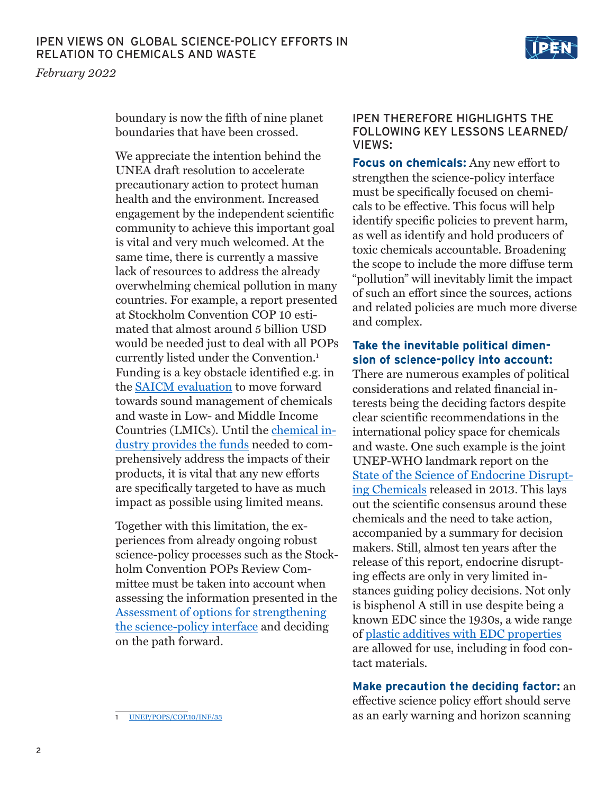*February 2022*

boundary is now the fifth of nine planet boundaries that have been crossed.

We appreciate the intention behind the UNEA draft resolution to accelerate precautionary action to protect human health and the environment. Increased engagement by the independent scientific community to achieve this important goal is vital and very much welcomed. At the same time, there is currently a massive lack of resources to address the already overwhelming chemical pollution in many countries. For example, a report presented at Stockholm Convention COP 10 estimated that almost around 5 billion USD would be needed just to deal with all POPs currently listed under the Convention.1 Funding is a key obstacle identified e.g. in the [SAICM evaluation](https://saicmknowledge.org/sites/default/files/publications/ExecSum_Independent-Evaluation-SAICM-2006-2015.pdf) to move forward towards sound management of chemicals and waste in Low- and Middle Income Countries (LMICs). Until the [chemical in](https://ipen.org/documents/financing-sound-management-chemicals)[dustry provides the funds](https://ipen.org/documents/financing-sound-management-chemicals) needed to comprehensively address the impacts of their products, it is vital that any new efforts are specifically targeted to have as much impact as possible using limited means.

Together with this limitation, the experiences from already ongoing robust science-policy processes such as the Stockholm Convention POPs Review Committee must be taken into account when assessing the information presented in the [Assessment of options for strengthening](https://wedocs.unep.org/bitstream/handle/20.500.11822/33808/OSSP.pdf?sequence=1&isAllowed=y)  [the science-policy interface](https://wedocs.unep.org/bitstream/handle/20.500.11822/33808/OSSP.pdf?sequence=1&isAllowed=y) and deciding on the path forward.

#### IPEN THEREFORE HIGHLIGHTS THE FOLLOWING KEY LESSONS LEARNED/ VIEWS:

Ⅱ⊉⋇

**Focus on chemicals:** Any new effort to strengthen the science-policy interface must be specifically focused on chemicals to be effective. This focus will help identify specific policies to prevent harm, as well as identify and hold producers of toxic chemicals accountable. Broadening the scope to include the more diffuse term "pollution" will inevitably limit the impact of such an effort since the sources, actions and related policies are much more diverse and complex.

## **Take the inevitable political dimension of science-policy into account:**

There are numerous examples of political considerations and related financial interests being the deciding factors despite clear scientific recommendations in the international policy space for chemicals and waste. One such example is the joint UNEP-WHO landmark report on the [State of the Science of Endocrine Disrupt](https://apps.who.int/iris/bitstream/handle/10665/78101/9789241505031_eng.pdf;jsessionid=693C43D8A212BCF77CA9F1E3C4242669?sequence=1)[ing Chemicals](https://apps.who.int/iris/bitstream/handle/10665/78101/9789241505031_eng.pdf;jsessionid=693C43D8A212BCF77CA9F1E3C4242669?sequence=1) released in 2013. This lays out the scientific consensus around these chemicals and the need to take action, accompanied by a summary for decision makers. Still, almost ten years after the release of this report, endocrine disrupting effects are only in very limited instances guiding policy decisions. Not only is bisphenol A still in use despite being a known EDC since the 1930s, a wide range of [plastic additives with EDC properties](https://www.endocrine.org/topics/edc/plastics-edcs-and-health) are allowed for use, including in food contact materials.

## **Make precaution the deciding factor:** an

effective science policy effort should serve as an early warning and horizon scanning

[UNEP/POPS/COP.10/INF/33](http://chm.pops.int/TheConvention/ConferenceoftheParties/Meetings/COP10/tabid/8397/Default.aspx)